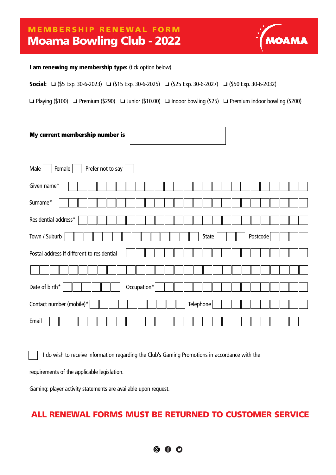### Moama Bowling Club - 2022 MEMBERSHIP RENEWAL FORM



#### I am renewing my membership type: (tick option below)

Social: **□** (\$5 Exp. 30-6-2023) **□** (\$15 Exp. 30-6-2025) **□** (\$25 Exp. 30-6-2027) **□** (\$50 Exp. 30-6-2032)

❏ Playing (\$100) ❏ Premium (\$290) ❏ Junior (\$10.00) ❏ Indoor bowling (\$25) ❏ Premium indoor bowling (\$200)

| My current membership number is |  |
|---------------------------------|--|
|                                 |  |

| Male<br>Prefer not to say<br>Female        |
|--------------------------------------------|
| Given name*                                |
| Surname*                                   |
| Residential address*                       |
| Town / Suburb<br>Postcode<br>State         |
| Postal address if different to residential |
|                                            |
| Occupation*<br>Date of birth*              |
| Contact number (mobile)*<br>Telephone      |
| Email                                      |

I do wish to receive information regarding the Club's Gaming Promotions in accordance with the

requirements of the applicable legislation.

Gaming: player activity statements are available upon request.

### ALL RENEWAL FORMS MUST BE RETURNED TO CUSTOMER SERVICE